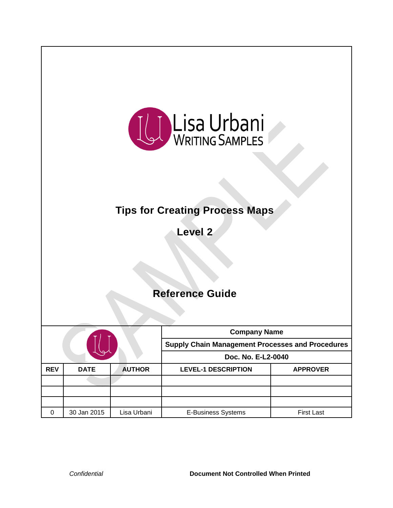

# **Tips for Creating Process Maps**

**Level 2**

## **Reference Guide**

|   |             |             | <b>Company Name</b><br><b>Supply Chain Management Processes and Procedures</b> |                   |               |                            |
|---|-------------|-------------|--------------------------------------------------------------------------------|-------------------|---------------|----------------------------|
|   |             |             |                                                                                |                   |               |                            |
|   |             |             | <b>REV</b>                                                                     | <b>DATE</b>       | <b>AUTHOR</b> | <b>LEVEL-1 DESCRIPTION</b> |
|   |             |             |                                                                                |                   |               |                            |
|   |             |             |                                                                                |                   |               |                            |
|   |             |             |                                                                                |                   |               |                            |
| 0 | 30 Jan 2015 | Lisa Urbani | <b>E-Business Systems</b>                                                      | <b>First Last</b> |               |                            |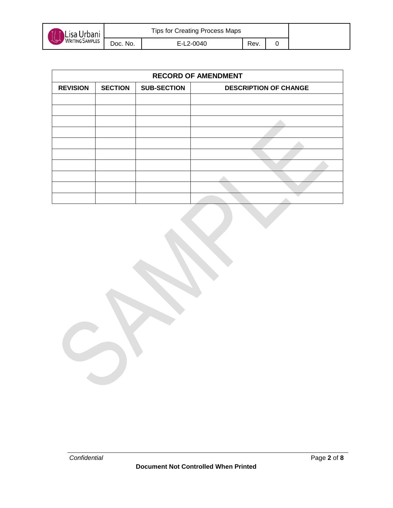

| <b>RECORD OF AMENDMENT</b> |                |                    |                              |  |  |  |  |
|----------------------------|----------------|--------------------|------------------------------|--|--|--|--|
| <b>REVISION</b>            | <b>SECTION</b> | <b>SUB-SECTION</b> | <b>DESCRIPTION OF CHANGE</b> |  |  |  |  |
|                            |                |                    |                              |  |  |  |  |
|                            |                |                    |                              |  |  |  |  |
|                            |                |                    |                              |  |  |  |  |
|                            |                |                    |                              |  |  |  |  |
|                            |                |                    |                              |  |  |  |  |
|                            |                |                    |                              |  |  |  |  |
|                            |                |                    |                              |  |  |  |  |
|                            |                |                    |                              |  |  |  |  |
|                            |                |                    |                              |  |  |  |  |
|                            |                |                    |                              |  |  |  |  |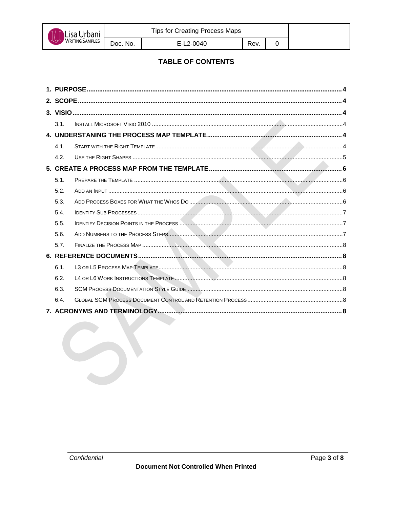

Rev.

## **TABLE OF CONTENTS**

| 3.1. |  |  |  |  |  |  |
|------|--|--|--|--|--|--|
|      |  |  |  |  |  |  |
| 4.1. |  |  |  |  |  |  |
| 4.2. |  |  |  |  |  |  |
|      |  |  |  |  |  |  |
| 5.1. |  |  |  |  |  |  |
| 5.2. |  |  |  |  |  |  |
| 5.3. |  |  |  |  |  |  |
| 5.4. |  |  |  |  |  |  |
| 5.5. |  |  |  |  |  |  |
| 5.6. |  |  |  |  |  |  |
| 5.7. |  |  |  |  |  |  |
|      |  |  |  |  |  |  |
| 6.1. |  |  |  |  |  |  |
| 6.2. |  |  |  |  |  |  |
| 6.3. |  |  |  |  |  |  |
| 6.4. |  |  |  |  |  |  |
|      |  |  |  |  |  |  |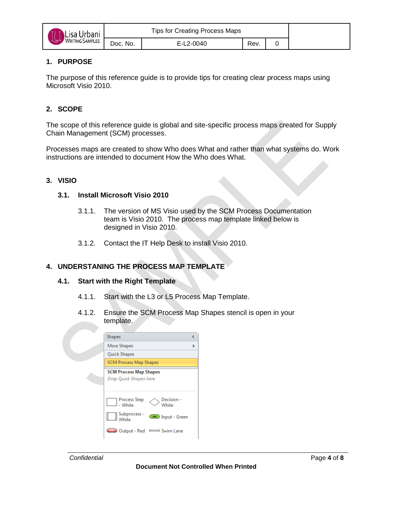

## <span id="page-3-0"></span>**1. PURPOSE**

The purpose of this reference guide is to provide tips for creating clear process maps using Microsoft Visio 2010.

## <span id="page-3-1"></span>**2. SCOPE**

The scope of this reference guide is global and site-specific process maps created for Supply Chain Management (SCM) processes.

Processes maps are created to show Who does What and rather than what systems do. Work instructions are intended to document How the Who does What.

#### <span id="page-3-3"></span><span id="page-3-2"></span>**3. VISIO**

#### **3.1. Install Microsoft Visio 2010**

- 3.1.1. The version of MS Visio used by the SCM Process Documentation team is Visio 2010. The process map template linked below is designed in Visio 2010.
- 3.1.2. Contact the IT Help Desk to install Visio 2010.

#### <span id="page-3-5"></span><span id="page-3-4"></span>**4. UNDERSTANING THE PROCESS MAP TEMPLATE**

#### **4.1. Start with the Right Template**

- 4.1.1. Start with the L3 or L5 Process Map Template.
- 4.1.2. Ensure the SCM Process Map Shapes stencil is open in your template.

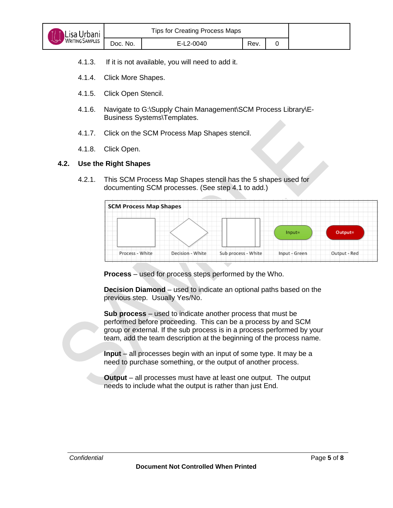

- 4.1.4. Click More Shapes.
- 4.1.5. Click Open Stencil.
- 4.1.6. Navigate to G:\Supply Chain Management\SCM Process Library\E-Business Systems\Templates.
- 4.1.7. Click on the SCM Process Map Shapes stencil.
- 4.1.8. Click Open.

#### <span id="page-4-0"></span>**4.2. Use the Right Shapes**

4.2.1. This SCM Process Map Shapes stencil has the 5 shapes used for documenting SCM processes. (See step 4.1 to add.)



**Process** – used for process steps performed by the Who.

**Decision Diamond** – used to indicate an optional paths based on the previous step. Usually Yes/No.

**Sub process** – used to indicate another process that must be performed before proceeding. This can be a process by and SCM group or external. If the sub process is in a process performed by your team, add the team description at the beginning of the process name.

**Input** – all processes begin with an input of some type. It may be a need to purchase something, or the output of another process.

**Output** – all processes must have at least one output. The output needs to include what the output is rather than just End.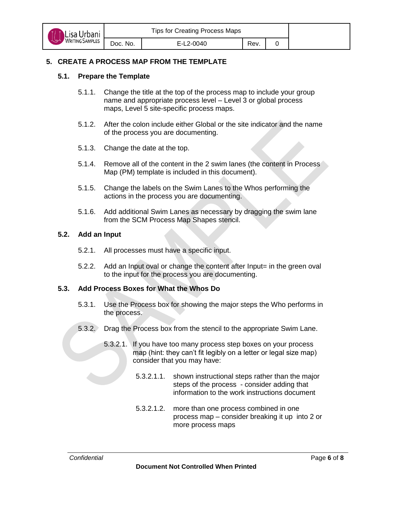

## <span id="page-5-1"></span><span id="page-5-0"></span>**5. CREATE A PROCESS MAP FROM THE TEMPLATE**

#### **5.1. Prepare the Template**

- 5.1.1. Change the title at the top of the process map to include your group name and appropriate process level – Level 3 or global process maps, Level 5 site-specific process maps.
- 5.1.2. After the colon include either Global or the site indicator and the name of the process you are documenting.
- 5.1.3. Change the date at the top.
- 5.1.4. Remove all of the content in the 2 swim lanes (the content in Process Map (PM) template is included in this document).
- 5.1.5. Change the labels on the Swim Lanes to the Whos performing the actions in the process you are documenting.
- 5.1.6. Add additional Swim Lanes as necessary by dragging the swim lane from the SCM Process Map Shapes stencil.

#### <span id="page-5-2"></span>**5.2. Add an Input**

- 5.2.1. All processes must have a specific input.
- 5.2.2. Add an Input oval or change the content after Input= in the green oval to the input for the process you are documenting.

#### <span id="page-5-3"></span>**5.3. Add Process Boxes for What the Whos Do**

- 5.3.1. Use the Process box for showing the major steps the Who performs in the process.
- 5.3.2. Drag the Process box from the stencil to the appropriate Swim Lane.
	- 5.3.2.1. If you have too many process step boxes on your process map (hint: they can't fit legibly on a letter or legal size map) consider that you may have:
		- 5.3.2.1.1. shown instructional steps rather than the major steps of the process - consider adding that information to the work instructions document
		- 5.3.2.1.2. more than one process combined in one process map – consider breaking it up into 2 or more process maps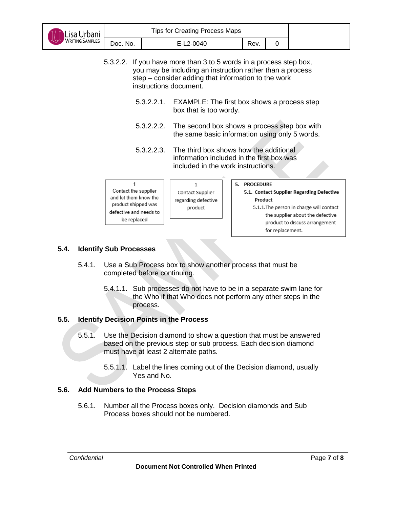| Lisa Urbani                                                                                                   | <b>Tips for Creating Process Maps</b>                                                                                                                                                                            |  |                                                                                                |  |                         |                  |                                                                                                                                                             |
|---------------------------------------------------------------------------------------------------------------|------------------------------------------------------------------------------------------------------------------------------------------------------------------------------------------------------------------|--|------------------------------------------------------------------------------------------------|--|-------------------------|------------------|-------------------------------------------------------------------------------------------------------------------------------------------------------------|
|                                                                                                               | Doc. No.                                                                                                                                                                                                         |  | E-L2-0040                                                                                      |  | Rev.                    | 0                |                                                                                                                                                             |
|                                                                                                               | 5.3.2.2. If you have more than 3 to 5 words in a process step box,<br>you may be including an instruction rather than a process<br>step – consider adding that information to the work<br>instructions document. |  |                                                                                                |  |                         |                  |                                                                                                                                                             |
| 5.3.2.2.1. EXAMPLE: The first box shows a process step<br>box that is too wordy.                              |                                                                                                                                                                                                                  |  |                                                                                                |  |                         |                  |                                                                                                                                                             |
| 5.3.2.2.2.                                                                                                    |                                                                                                                                                                                                                  |  | The second box shows a process step box with<br>the same basic information using only 5 words. |  |                         |                  |                                                                                                                                                             |
|                                                                                                               | 5.3.2.2.3.<br>The third box shows how the additional<br>information included in the first box was<br>included in the work instructions.                                                                          |  |                                                                                                |  |                         |                  |                                                                                                                                                             |
| Contact the supplier<br>and let them know the<br>product shipped was<br>defective and needs to<br>be replaced |                                                                                                                                                                                                                  |  | $\mathbf{1}$<br>Contact Supplier<br>regarding defective<br>product                             |  | 5. PROCEDURE<br>Product | for replacement. | 5.1. Contact Supplier Regarding Defective<br>5.1.1. The person in charge will contact<br>the supplier about the defective<br>product to discuss arrangement |

## <span id="page-6-0"></span>**5.4. Identify Sub Processes**

- 5.4.1. Use a Sub Process box to show another process that must be completed before continuing.
	- 5.4.1.1. Sub processes do not have to be in a separate swim lane for the Who if that Who does not perform any other steps in the process.

## <span id="page-6-1"></span>**5.5. Identify Decision Points in the Process**

- 5.5.1. Use the Decision diamond to show a question that must be answered based on the previous step or sub process. Each decision diamond must have at least 2 alternate paths.
	- 5.5.1.1. Label the lines coming out of the Decision diamond, usually Yes and No.

## <span id="page-6-2"></span>**5.6. Add Numbers to the Process Steps**

5.6.1. Number all the Process boxes only. Decision diamonds and Sub Process boxes should not be numbered.